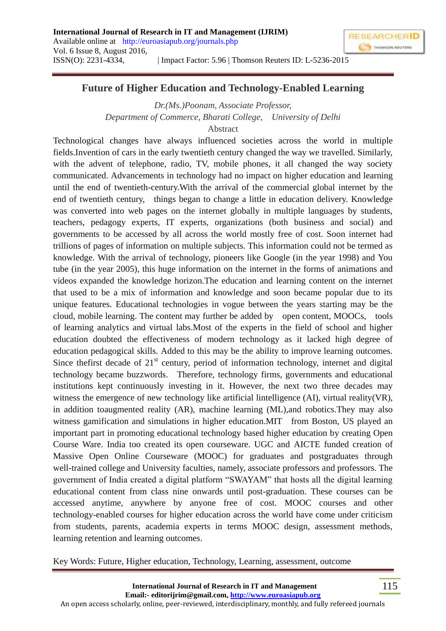

## **Future of Higher Education and Technology-Enabled Learning**

*Dr.(Ms.)Poonam, Associate Professor, Department of Commerce, Bharati College, University of Delhi*

Abstract

Technological changes have always influenced societies across the world in multiple fields.Invention of cars in the early twentieth century changed the way we travelled. Similarly, with the advent of telephone, radio, TV, mobile phones, it all changed the way society communicated. Advancements in technology had no impact on higher education and learning until the end of twentieth-century.With the arrival of the commercial global internet by the end of twentieth century, things began to change a little in education delivery. Knowledge was converted into web pages on the internet globally in multiple languages by students, teachers, pedagogy experts, IT experts, organizations (both business and social) and governments to be accessed by all across the world mostly free of cost. Soon internet had trillions of pages of information on multiple subjects. This information could not be termed as knowledge. With the arrival of technology, pioneers like Google (in the year 1998) and You tube (in the year 2005), this huge information on the internet in the forms of animations and videos expanded the knowledge horizon.The education and learning content on the internet that used to be a mix of information and knowledge and soon became popular due to its unique features. Educational technologies in vogue between the years starting may be the cloud, mobile learning. The content may further be added by open content, MOOCs, tools of learning analytics and virtual labs.Most of the experts in the field of school and higher education doubted the effectiveness of modern technology as it lacked high degree of education pedagogical skills. Added to this may be the ability to improve learning outcomes. Since the first decade of  $21<sup>st</sup>$  century, period of information technology, internet and digital technology became buzzwords. Therefore, technology firms, governments and educational institutions kept continuously investing in it. However, the next two three decades may witness the emergence of new technology like artificial lintelligence (AI), virtual reality(VR), in addition toaugmented reality (AR), machine learning (ML),and robotics.They may also witness gamification and simulations in higher education.MIT from Boston, US played an important part in promoting educational technology based higher education by creating Open Course Ware. India too created its open courseware. UGC and AICTE funded creation of Massive Open Online Courseware (MOOC) for graduates and postgraduates through well-trained college and University faculties, namely, associate professors and professors. The government of India created a digital platform "SWAYAM" that hosts all the digital learning educational content from class nine onwards until post-graduation. These courses can be accessed anytime, anywhere by anyone free of cost. MOOC courses and other technology-enabled courses for higher education across the world have come under criticism from students, parents, academia experts in terms MOOC design, assessment methods, learning retention and learning outcomes.

Key Words: Future, Higher education, Technology, Learning, assessment, outcome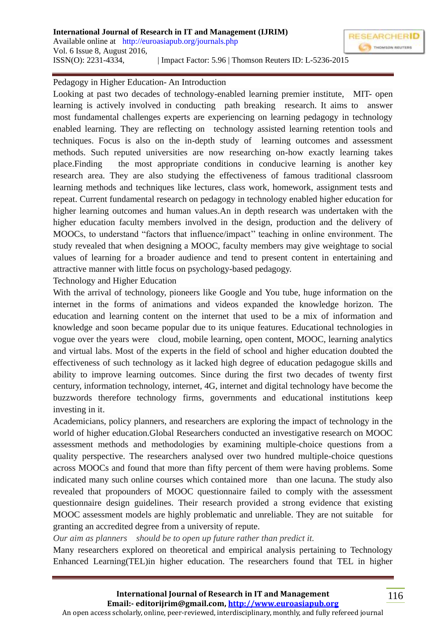

## Pedagogy in Higher Education- An Introduction

Looking at past two decades of technology-enabled learning premier institute, MIT- open learning is actively involved in conducting path breaking research. It aims to answer most fundamental challenges experts are experiencing on learning pedagogy in technology enabled learning. They are reflecting on technology assisted learning retention tools and techniques. Focus is also on the in-depth study of learning outcomes and assessment methods. Such reputed universities are now researching on-how exactly learning takes place.Finding the most appropriate conditions in conducive learning is another key research area. They are also studying the effectiveness of famous traditional classroom learning methods and techniques like lectures, class work, homework, assignment tests and repeat. Current fundamental research on pedagogy in technology enabled higher education for higher learning outcomes and human values.An in depth research was undertaken with the higher education faculty members involved in the design, production and the delivery of MOOCs, to understand "factors that influence/impact'' teaching in online environment. The study revealed that when designing a MOOC, faculty members may give weightage to social values of learning for a broader audience and tend to present content in entertaining and attractive manner with little focus on psychology-based pedagogy.

Technology and Higher Education

With the arrival of technology, pioneers like Google and You tube, huge information on the internet in the forms of animations and videos expanded the knowledge horizon. The education and learning content on the internet that used to be a mix of information and knowledge and soon became popular due to its unique features. Educational technologies in vogue over the years were cloud, mobile learning, open content, MOOC, learning analytics and virtual labs. Most of the experts in the field of school and higher education doubted the effectiveness of such technology as it lacked high degree of education pedagogue skills and ability to improve learning outcomes. Since during the first two decades of twenty first century, information technology, internet, 4G, internet and digital technology have become the buzzwords therefore technology firms, governments and educational institutions keep investing in it.

Academicians, policy planners, and researchers are exploring the impact of technology in the world of higher education.Global Researchers conducted an investigative research on MOOC assessment methods and methodologies by examining multiple-choice questions from a quality perspective. The researchers analysed over two hundred multiple-choice questions across MOOCs and found that more than fifty percent of them were having problems. Some indicated many such online courses which contained more than one lacuna. The study also revealed that propounders of MOOC questionnaire failed to comply with the assessment questionnaire design guidelines. Their research provided a strong evidence that existing MOOC assessment models are highly problematic and unreliable. They are not suitable for granting an accredited degree from a university of repute.

*Our aim as planners should be to open up future rather than predict it.* 

Many researchers explored on theoretical and empirical analysis pertaining to Technology Enhanced Learning(TEL)in higher education. The researchers found that TEL in higher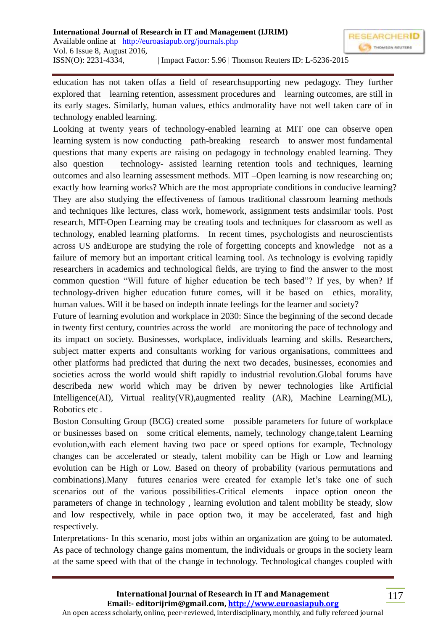education has not taken offas a field of researchsupporting new pedagogy. They further explored that learning retention, assessment procedures and learning outcomes, are still in its early stages. Similarly, human values, ethics andmorality have not well taken care of in technology enabled learning.

Looking at twenty years of technology-enabled learning at MIT one can observe open learning system is now conducting path-breaking research to answer most fundamental questions that many experts are raising on pedagogy in technology enabled learning. They also question technology- assisted learning retention tools and techniques, learning outcomes and also learning assessment methods. MIT –Open learning is now researching on; exactly how learning works? Which are the most appropriate conditions in conducive learning? They are also studying the effectiveness of famous traditional classroom learning methods and techniques like lectures, class work, homework, assignment tests andsimilar tools. Post research, MIT-Open Learning may be creating tools and techniques for classroom as well as technology, enabled learning platforms. In recent times, psychologists and neuroscientists across US andEurope are studying the role of forgetting concepts and knowledge not as a failure of memory but an important critical learning tool. As technology is evolving rapidly researchers in academics and technological fields, are trying to find the answer to the most common question "Will future of higher education be tech based"? If yes, by when? If technology-driven higher education future comes, will it be based on ethics, morality, human values. Will it be based on indepth innate feelings for the learner and society?

Future of learning evolution and workplace in 2030: Since the beginning of the second decade in twenty first century, countries across the world are monitoring the pace of technology and its impact on society. Businesses, workplace, individuals learning and skills. Researchers, subject matter experts and consultants working for various organisations, committees and other platforms had predicted that during the next two decades, businesses, economies and societies across the world would shift rapidly to industrial revolution.Global forums have describeda new world which may be driven by newer technologies like Artificial Intelligence(AI), Virtual reality(VR),augmented reality (AR), Machine Learning(ML), Robotics etc .

Boston Consulting Group (BCG) created some possible parameters for future of workplace or businesses based on some critical elements, namely, technology change,talent Learning evolution,with each element having two pace or speed options for example, Technology changes can be accelerated or steady, talent mobility can be High or Low and learning evolution can be High or Low. Based on theory of probability (various permutations and combinations).Many futures cenarios were created for example let's take one of such scenarios out of the various possibilities-Critical elements inpace option oneon the parameters of change in technology , learning evolution and talent mobility be steady, slow and low respectively, while in pace option two, it may be accelerated, fast and high respectively.

Interpretations- In this scenario, most jobs within an organization are going to be automated. As pace of technology change gains momentum, the individuals or groups in the society learn at the same speed with that of the change in technology. Technological changes coupled with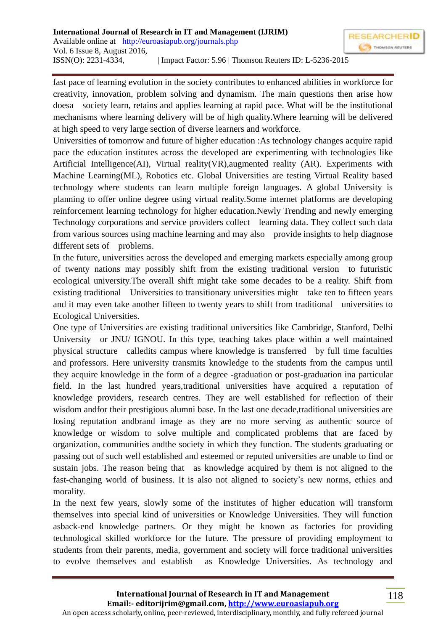fast pace of learning evolution in the society contributes to enhanced abilities in workforce for creativity, innovation, problem solving and dynamism. The main questions then arise how doesa society learn, retains and applies learning at rapid pace. What will be the institutional mechanisms where learning delivery will be of high quality.Where learning will be delivered at high speed to very large section of diverse learners and workforce.

Universities of tomorrow and future of higher education :As technology changes acquire rapid pace the education institutes across the developed are experimenting with technologies like Artificial Intelligence(AI), Virtual reality(VR),augmented reality (AR). Experiments with Machine Learning(ML), Robotics etc. Global Universities are testing Virtual Reality based technology where students can learn multiple foreign languages. A global University is planning to offer online degree using virtual reality.Some internet platforms are developing reinforcement learning technology for higher education.Newly Trending and newly emerging Technology corporations and service providers collect learning data. They collect such data from various sources using machine learning and may also provide insights to help diagnose different sets of problems.

In the future, universities across the developed and emerging markets especially among group of twenty nations may possibly shift from the existing traditional version to futuristic ecological university.The overall shift might take some decades to be a reality. Shift from existing traditional Universities to transitionary universities might take ten to fifteen years and it may even take another fifteen to twenty years to shift from traditional universities to Ecological Universities.

One type of Universities are existing traditional universities like Cambridge, Stanford, Delhi University or JNU/ IGNOU. In this type, teaching takes place within a well maintained physical structure calledits campus where knowledge is transferred by full time faculties and professors. Here university transmits knowledge to the students from the campus until they acquire knowledge in the form of a degree -graduation or post-graduation ina particular field. In the last hundred years,traditional universities have acquired a reputation of knowledge providers, research centres. They are well established for reflection of their wisdom andfor their prestigious alumni base. In the last one decade, traditional universities are losing reputation andbrand image as they are no more serving as authentic source of knowledge or wisdom to solve multiple and complicated problems that are faced by organization, communities andthe society in which they function. The students graduating or passing out of such well established and esteemed or reputed universities are unable to find or sustain jobs. The reason being that as knowledge acquired by them is not aligned to the fast-changing world of business. It is also not aligned to society's new norms, ethics and morality.

In the next few years, slowly some of the institutes of higher education will transform themselves into special kind of universities or Knowledge Universities. They will function asback-end knowledge partners. Or they might be known as factories for providing technological skilled workforce for the future. The pressure of providing employment to students from their parents, media, government and society will force traditional universities to evolve themselves and establish as Knowledge Universities. As technology and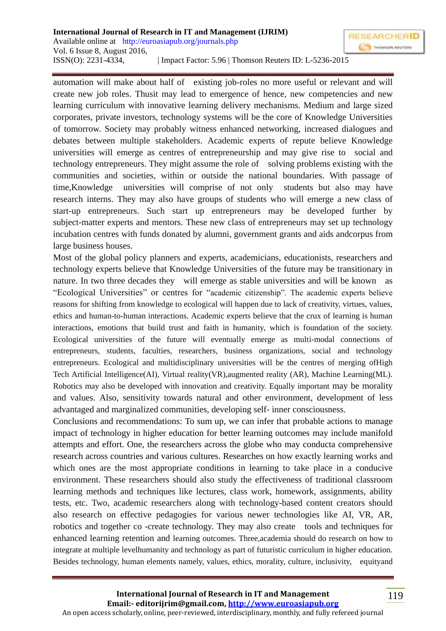automation will make about half of existing job-roles no more useful or relevant and will create new job roles. Thusit may lead to emergence of hence, new competencies and new learning curriculum with innovative learning delivery mechanisms. Medium and large sized corporates, private investors, technology systems will be the core of Knowledge Universities of tomorrow. Society may probably witness enhanced networking, increased dialogues and debates between multiple stakeholders. Academic experts of repute believe Knowledge universities will emerge as centres of entrepreneurship and may give rise to social and technology entrepreneurs. They might assume the role of solving problems existing with the communities and societies, within or outside the national boundaries. With passage of time,Knowledge universities will comprise of not only students but also may have research interns. They may also have groups of students who will emerge a new class of start-up entrepreneurs. Such start up entrepreneurs may be developed further by subject-matter experts and mentors. These new class of entrepreneurs may set up technology incubation centres with funds donated by alumni, government grants and aids andcorpus from large business houses.

Most of the global policy planners and experts, academicians, educationists, researchers and technology experts believe that Knowledge Universities of the future may be transitionary in nature. In two three decades they will emerge as stable universities and will be known as "Ecological Universities" or centres for "academic citizenship". The academic experts believe reasons for shifting from knowledge to ecological will happen due to lack of creativity, virtues, values, ethics and human-to-human interactions. Academic experts believe that the crux of learning is human interactions, emotions that build trust and faith in humanity, which is foundation of the society. Ecological universities of the future will eventually emerge as multi-modal connections of entrepreneurs, students, faculties, researchers, business organizations, social and technology entrepreneurs. Ecological and multidisciplinary universities will be the centres of merging ofHigh Tech Artificial Intelligence(AI), Virtual reality(VR),augmented reality (AR), Machine Learning(ML). Robotics may also be developed with innovation and creativity. Equally important may be morality and values. Also, sensitivity towards natural and other environment, development of less advantaged and marginalized communities, developing self- inner consciousness.

Conclusions and recommendations: To sum up, we can infer that probable actions to manage impact of technology in higher education for better learning outcomes may include manifold attempts and effort. One, the researchers across the globe who may conducta comprehensive research across countries and various cultures. Researches on how exactly learning works and which ones are the most appropriate conditions in learning to take place in a conducive environment. These researchers should also study the effectiveness of traditional classroom learning methods and techniques like lectures, class work, homework, assignments, ability tests, etc. Two, academic researchers along with technology-based content creators should also research on effective pedagogies for various newer technologies like AI, VR, AR, robotics and together co -create technology. They may also create tools and techniques for enhanced learning retention and learning outcomes. Three,academia should do research on how to integrate at multiple levelhumanity and technology as part of futuristic curriculum in higher education. Besides technology, human elements namely, values, ethics, morality, culture, inclusivity, equityand

119